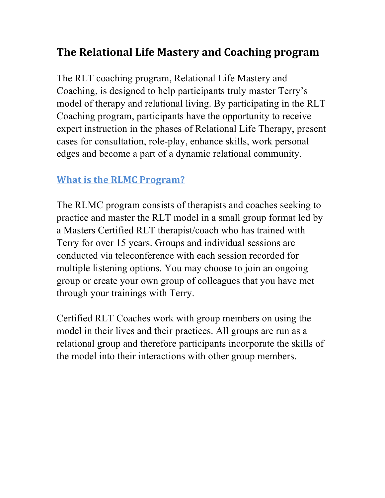## **The Relational Life Mastery and Coaching program**

The RLT coaching program, Relational Life Mastery and Coaching, is designed to help participants truly master Terry's model of therapy and relational living. By participating in the RLT Coaching program, participants have the opportunity to receive expert instruction in the phases of Relational Life Therapy, present cases for consultation, role-play, enhance skills, work personal edges and become a part of a dynamic relational community.

#### **What is the RLMC Program?**

The RLMC program consists of therapists and coaches seeking to practice and master the RLT model in a small group format led by a Masters Certified RLT therapist/coach who has trained with Terry for over 15 years. Groups and individual sessions are conducted via teleconference with each session recorded for multiple listening options. You may choose to join an ongoing group or create your own group of colleagues that you have met through your trainings with Terry.

Certified RLT Coaches work with group members on using the model in their lives and their practices. All groups are run as a relational group and therefore participants incorporate the skills of the model into their interactions with other group members.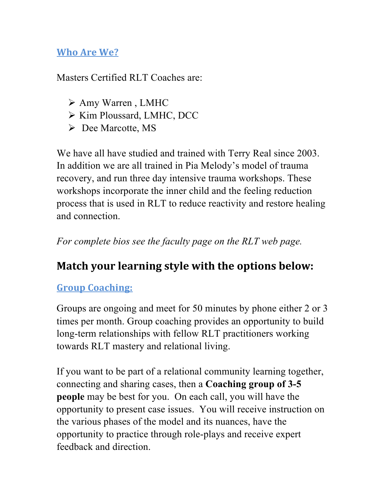#### **Who Are We?**

Masters Certified RLT Coaches are:

- > Amy Warren, LMHC
- $\triangleright$  Kim Ploussard, LMHC, DCC
- ! Dee Marcotte, MS

We have all have studied and trained with Terry Real since 2003. In addition we are all trained in Pia Melody's model of trauma recovery, and run three day intensive trauma workshops. These workshops incorporate the inner child and the feeling reduction process that is used in RLT to reduce reactivity and restore healing and connection.

*For complete bios see the faculty page on the RLT web page.*

# **Match your learning style with the options below:**

## **Group Coaching:**

Groups are ongoing and meet for 50 minutes by phone either 2 or 3 times per month. Group coaching provides an opportunity to build long-term relationships with fellow RLT practitioners working towards RLT mastery and relational living.

If you want to be part of a relational community learning together, connecting and sharing cases, then a **Coaching group of 3-5 people** may be best for you. On each call, you will have the opportunity to present case issues. You will receive instruction on the various phases of the model and its nuances, have the opportunity to practice through role-plays and receive expert feedback and direction.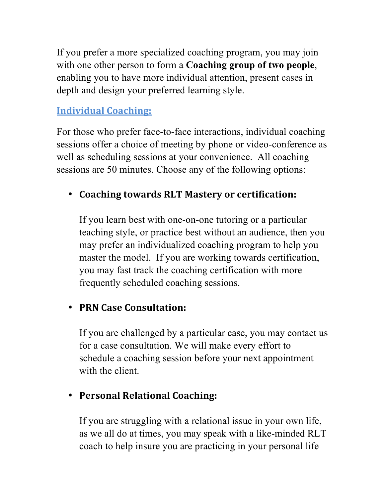If you prefer a more specialized coaching program, you may join with one other person to form a **Coaching group of two people**, enabling you to have more individual attention, present cases in depth and design your preferred learning style.

#### **Individual Coaching:**

For those who prefer face-to-face interactions, individual coaching sessions offer a choice of meeting by phone or video-conference as well as scheduling sessions at your convenience. All coaching sessions are 50 minutes. Choose any of the following options:

## • Coaching towards RLT Mastery or certification:

If you learn best with one-on-one tutoring or a particular teaching style, or practice best without an audience, then you may prefer an individualized coaching program to help you master the model. If you are working towards certification, you may fast track the coaching certification with more frequently scheduled coaching sessions.

## • **PRN Case Consultation:**

If you are challenged by a particular case, you may contact us for a case consultation. We will make every effort to schedule a coaching session before your next appointment with the client.

## **• Personal Relational Coaching:**

If you are struggling with a relational issue in your own life, as we all do at times, you may speak with a like-minded RLT coach to help insure you are practicing in your personal life